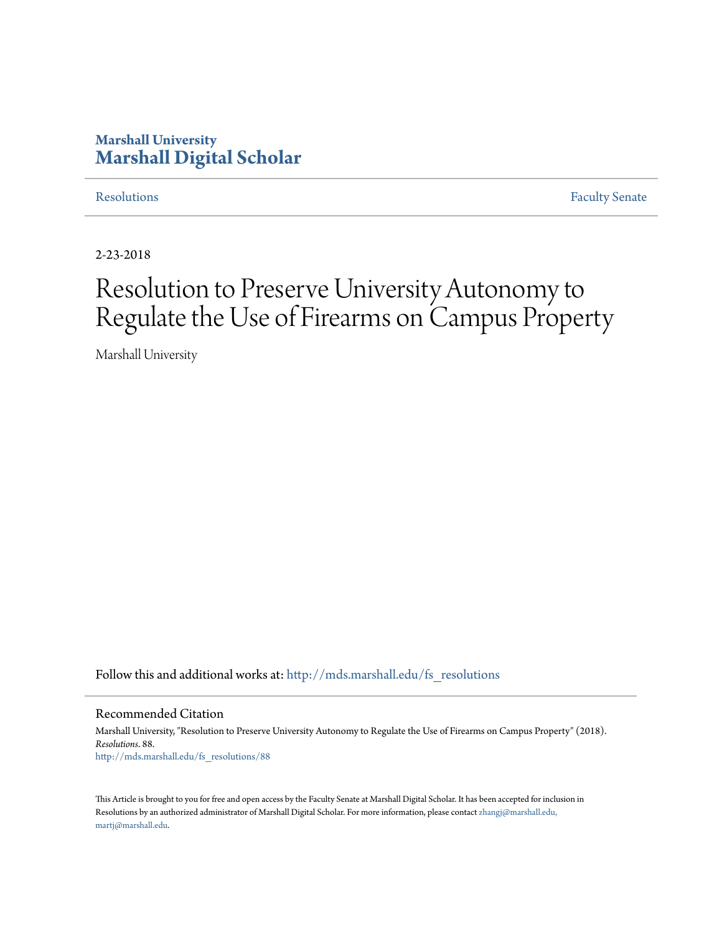## **Marshall University [Marshall Digital Scholar](http://mds.marshall.edu?utm_source=mds.marshall.edu%2Ffs_resolutions%2F88&utm_medium=PDF&utm_campaign=PDFCoverPages)**

[Resolutions](http://mds.marshall.edu/fs_resolutions?utm_source=mds.marshall.edu%2Ffs_resolutions%2F88&utm_medium=PDF&utm_campaign=PDFCoverPages) [Faculty Senate](http://mds.marshall.edu/fs?utm_source=mds.marshall.edu%2Ffs_resolutions%2F88&utm_medium=PDF&utm_campaign=PDFCoverPages)

2-23-2018

# Resolution to Preserve University Autonomy to Regulate the Use of Firearms on Campus Property

Marshall University

Follow this and additional works at: [http://mds.marshall.edu/fs\\_resolutions](http://mds.marshall.edu/fs_resolutions?utm_source=mds.marshall.edu%2Ffs_resolutions%2F88&utm_medium=PDF&utm_campaign=PDFCoverPages)

#### Recommended Citation

Marshall University, "Resolution to Preserve University Autonomy to Regulate the Use of Firearms on Campus Property" (2018). *Resolutions*. 88. [http://mds.marshall.edu/fs\\_resolutions/88](http://mds.marshall.edu/fs_resolutions/88?utm_source=mds.marshall.edu%2Ffs_resolutions%2F88&utm_medium=PDF&utm_campaign=PDFCoverPages)

This Article is brought to you for free and open access by the Faculty Senate at Marshall Digital Scholar. It has been accepted for inclusion in Resolutions by an authorized administrator of Marshall Digital Scholar. For more information, please contact [zhangj@marshall.edu,](mailto:zhangj@marshall.edu,%20martj@marshall.edu) [martj@marshall.edu](mailto:zhangj@marshall.edu,%20martj@marshall.edu).